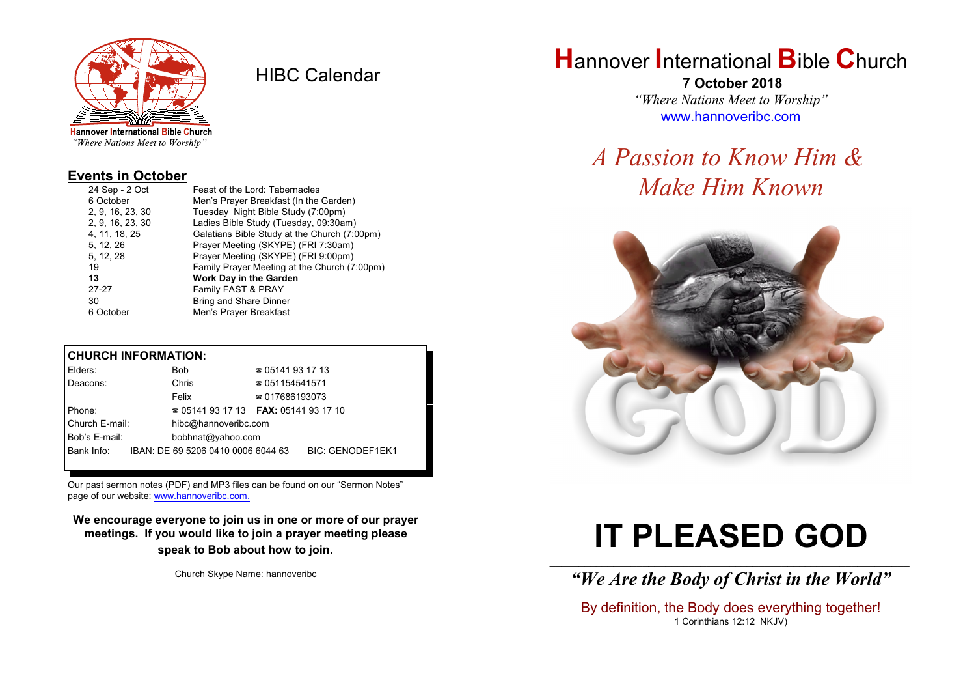

HIBC Calendar

"Where Nations Meet to Worship"

#### **Events in October**

| 24 Sep - 2 Oct   | Feast of the Lord: Tabernacles               |
|------------------|----------------------------------------------|
| 6 October        | Men's Prayer Breakfast (In the Garden)       |
| 2, 9, 16, 23, 30 | Tuesday Night Bible Study (7:00pm)           |
| 2, 9, 16, 23, 30 | Ladies Bible Study (Tuesday, 09:30am)        |
| 4, 11, 18, 25    | Galatians Bible Study at the Church (7:00pm) |
| 5, 12, 26        | Prayer Meeting (SKYPE) (FRI 7:30am)          |
| 5, 12, 28        | Prayer Meeting (SKYPE) (FRI 9:00pm)          |
| 19               | Family Prayer Meeting at the Church (7:00pm) |
| 13               | Work Day in the Garden                       |
| $27 - 27$        | Family FAST & PRAY                           |
| 30               | <b>Bring and Share Dinner</b>                |
| 6 October        | Men's Prayer Breakfast                       |
|                  |                                              |

#### **CHURCH INFORMATION:**

| Elders:        | Bob                                      | $\approx 05141931713$  |                         |
|----------------|------------------------------------------|------------------------|-------------------------|
| Deacons:       | Chris                                    | $\approx 051154541571$ |                         |
|                | Felix                                    | $\approx 017686193073$ |                         |
| Phone:         | $\approx 05141931713$ FAX: 0514193 17 10 |                        |                         |
| Church E-mail: | hibc@hannoveribc.com                     |                        |                         |
| Bob's E-mail:  | bobhnat@yahoo.com                        |                        |                         |
| Bank Info:     | IBAN: DE 69 5206 0410 0006 6044 63       |                        | <b>BIC: GENODEF1EK1</b> |
|                |                                          |                        |                         |

Our past sermon notes (PDF) and MP3 files can be found on our "Sermon Notes" page of our website: [www.hannoveribc.com.](http://www.hannoveribc.com.)

**We encourage everyone to join us in one or more of our prayer meetings. If you would like to join a prayer meeting please speak to Bob about how to join**.

Church Skype Name: hannoveribc

## **H**annover **I**nternational **B**ible **C**hurch

 **7 October 2018** *"Where Nations Meet to Worship"* [www.hannoveribc.com](http://www.hannoveribc.com)

# *A Passion to Know Him & Make Him Known*



# **IT PLEASED GOD**

#### \_\_\_\_\_\_\_\_\_\_\_\_\_\_\_\_\_\_\_\_\_\_\_\_\_\_\_\_\_\_\_\_\_\_\_\_\_\_\_\_\_\_\_\_\_\_\_\_\_\_\_\_\_\_\_\_\_\_\_\_\_\_ *"We Are the Body of Christ in the World"*

By definition, the Body does everything together! 1 Corinthians 12:12 NKJV)